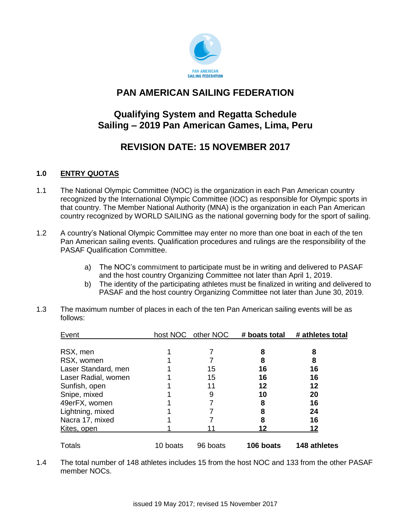

# **PAN AMERICAN SAILING FEDERATION**

# **Qualifying System and Regatta Schedule Sailing – 2019 Pan American Games, Lima, Peru**

# **REVISION DATE: 15 NOVEMBER 2017**

#### **1.0 ENTRY QUOTAS**

- 1.1 The National Olympic Committee (NOC) is the organization in each Pan American country recognized by the International Olympic Committee (IOC) as responsible for Olympic sports in that country. The Member National Authority (MNA) is the organization in each Pan American country recognized by WORLD SAILING as the national governing body for the sport of sailing.
- 1.2 A country's National Olympic Committee may enter no more than one boat in each of the ten Pan American sailing events. Qualification procedures and rulings are the responsibility of the PASAF Qualification Committee.
	- a) The NOC's commitment to participate must be in writing and delivered to PASAF and the host country Organizing Committee not later than April 1, 2019.
	- b) The identity of the participating athletes must be finalized in writing and delivered to PASAF and the host country Organizing Committee not later than June 30, 2019.
- 1.3 The maximum number of places in each of the ten Pan American sailing events will be as follows:

| Event               |          | host NOC other NOC | # boats total | # athletes total |
|---------------------|----------|--------------------|---------------|------------------|
|                     |          |                    |               |                  |
| RSX, men            |          |                    | 8             | 8                |
| RSX, women          |          |                    | 8             | 8                |
| Laser Standard, men |          | 15                 | 16            | 16               |
| Laser Radial, women |          | 15                 | 16            | 16               |
| Sunfish, open       |          | 11                 | 12            | 12               |
| Snipe, mixed        |          | 9                  | 10            | 20               |
| 49erFX, women       |          |                    | 8             | 16               |
| Lightning, mixed    |          |                    | 8             | 24               |
| Nacra 17, mixed     |          |                    | 8             | 16               |
| Kites, open         |          |                    | 12            | 12               |
| <b>Totals</b>       | 10 boats | 96 boats           | 106 boats     | 148 athletes     |

1.4 The total number of 148 athletes includes 15 from the host NOC and 133 from the other PASAF member NOCs.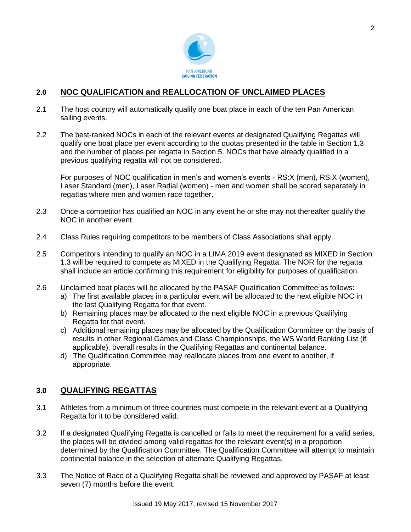

#### **2.0 NOC QUALIFICATION and REALLOCATION OF UNCLAIMED PLACES**

- 2.1 The host country will automatically qualify one boat place in each of the ten Pan American sailing events.
- 2.2 The best-ranked NOCs in each of the relevant events at designated Qualifying Regattas will qualify one boat place per event according to the quotas presented in the table in Section 1.3 and the number of places per regatta in Section 5. NOCs that have already qualified in a previous qualifying regatta will not be considered.

For purposes of NOC qualification in men's and women's events - RS:X (men), RS:X (women), Laser Standard (men), Laser Radial (women) - men and women shall be scored separately in regattas where men and women race together.

- 2.3 Once a competitor has qualified an NOC in any event he or she may not thereafter qualify the NOC in another event.
- 2.4 Class Rules requiring competitors to be members of Class Associations shall apply.
- 2.5 Competitors intending to qualify an NOC in a LIMA 2019 event designated as MIXED in Section 1.3 will be required to compete as MIXED in the Qualifying Regatta. The NOR for the regatta shall include an article confirming this requirement for eligibility for purposes of qualification.
- 2.6 Unclaimed boat places will be allocated by the PASAF Qualification Committee as follows:
	- a) The first available places in a particular event will be allocated to the next eligible NOC in the last Qualifying Regatta for that event.
	- b) Remaining places may be allocated to the next eligible NOC in a previous Qualifying Regatta for that event.
	- c) Additional remaining places may be allocated by the Qualification Committee on the basis of results in other Regional Games and Class Championships, the WS World Ranking List (if applicable), overall results in the Qualifying Regattas and continental balance.
	- d) The Qualification Committee may reallocate places from one event to another, if appropriate.

#### **3.0 QUALIFYING REGATTAS**

- 3.1 Athletes from a minimum of three countries must compete in the relevant event at a Qualifying Regatta for it to be considered valid.
- 3.2 If a designated Qualifying Regatta is cancelled or fails to meet the requirement for a valid series, the places will be divided among valid regattas for the relevant event(s) in a proportion determined by the Qualification Committee. The Qualification Committee will attempt to maintain continental balance in the selection of alternate Qualifying Regattas.
- 3.3 The Notice of Race of a Qualifying Regatta shall be reviewed and approved by PASAF at least seven (7) months before the event.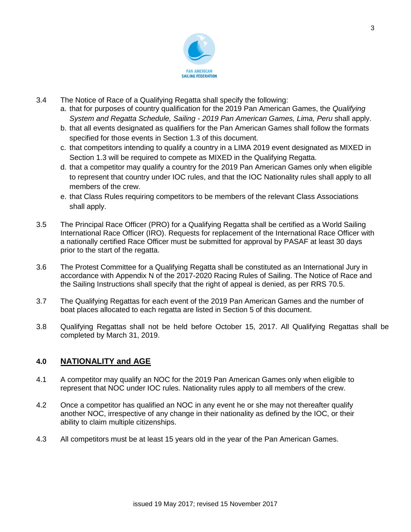

- 3.4 The Notice of Race of a Qualifying Regatta shall specify the following:
	- a. that for purposes of country qualification for the 2019 Pan American Games, the *Qualifying System and Regatta Schedule, Sailing - 2019 Pan American Games, Lima, Peru* shall apply.
	- b. that all events designated as qualifiers for the Pan American Games shall follow the formats specified for those events in Section 1.3 of this document.
	- c. that competitors intending to qualify a country in a LIMA 2019 event designated as MIXED in Section 1.3 will be required to compete as MIXED in the Qualifying Regatta.
	- d. that a competitor may qualify a country for the 2019 Pan American Games only when eligible to represent that country under IOC rules, and that the IOC Nationality rules shall apply to all members of the crew.
	- e. that Class Rules requiring competitors to be members of the relevant Class Associations shall apply.
- 3.5 The Principal Race Officer (PRO) for a Qualifying Regatta shall be certified as a World Sailing International Race Officer (IRO). Requests for replacement of the International Race Officer with a nationally certified Race Officer must be submitted for approval by PASAF at least 30 days prior to the start of the regatta.
- 3.6 The Protest Committee for a Qualifying Regatta shall be constituted as an International Jury in accordance with Appendix N of the 2017-2020 Racing Rules of Sailing. The Notice of Race and the Sailing Instructions shall specify that the right of appeal is denied, as per RRS 70.5.
- 3.7 The Qualifying Regattas for each event of the 2019 Pan American Games and the number of boat places allocated to each regatta are listed in Section 5 of this document.
- 3.8 Qualifying Regattas shall not be held before October 15, 2017. All Qualifying Regattas shall be completed by March 31, 2019.

#### **4.0 NATIONALITY and AGE**

- 4.1 A competitor may qualify an NOC for the 2019 Pan American Games only when eligible to represent that NOC under IOC rules. Nationality rules apply to all members of the crew.
- 4.2 Once a competitor has qualified an NOC in any event he or she may not thereafter qualify another NOC, irrespective of any change in their nationality as defined by the IOC, or their ability to claim multiple citizenships.
- 4.3 All competitors must be at least 15 years old in the year of the Pan American Games.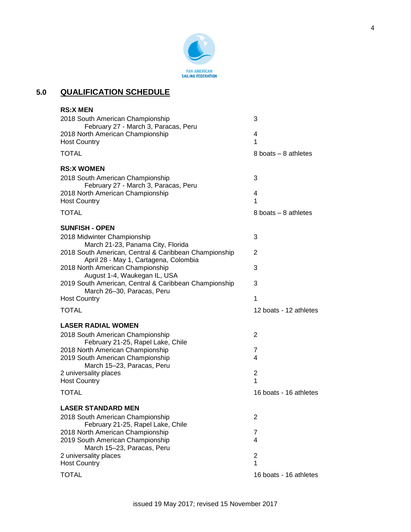

### **5.0 QUALIFICATION SCHEDULE**

| <b>RS:X MEN</b>                                                                                |                        |
|------------------------------------------------------------------------------------------------|------------------------|
| 2018 South American Championship<br>February 27 - March 3, Paracas, Peru                       | 3                      |
| 2018 North American Championship<br><b>Host Country</b>                                        | 4<br>1                 |
| <b>TOTAL</b>                                                                                   | 8 boats – 8 athletes   |
| <b>RS:X WOMEN</b>                                                                              |                        |
| 2018 South American Championship<br>February 27 - March 3, Paracas, Peru                       | 3                      |
| 2018 North American Championship<br><b>Host Country</b>                                        | 4<br>1                 |
| <b>TOTAL</b>                                                                                   | 8 boats $-$ 8 athletes |
| <b>SUNFISH - OPEN</b>                                                                          |                        |
| 2018 Midwinter Championship<br>March 21-23, Panama City, Florida                               | 3                      |
| 2018 South American, Central & Caribbean Championship<br>April 28 - May 1, Cartagena, Colombia | 2                      |
| 2018 North American Championship                                                               | 3                      |
| August 1-4, Waukegan IL, USA<br>2019 South American, Central & Caribbean Championship          | 3                      |
| March 26-30, Paracas, Peru<br><b>Host Country</b>                                              | 1                      |
| <b>TOTAL</b>                                                                                   | 12 boats - 12 athletes |
| <b>LASER RADIAL WOMEN</b>                                                                      |                        |
| 2018 South American Championship<br>February 21-25, Rapel Lake, Chile                          | 2                      |
| 2018 North American Championship                                                               | 7                      |
| 2019 South American Championship<br>March 15-23, Paracas, Peru                                 | 4                      |
| 2 universality places                                                                          | $\overline{2}$         |
| <b>Host Country</b>                                                                            | 1                      |
| <b>TOTAL</b>                                                                                   | 16 boats - 16 athletes |
| <b>LASER STANDARD MEN</b>                                                                      |                        |
| 2018 South American Championship<br>February 21-25, Rapel Lake, Chile                          | 2                      |
| 2018 North American Championship                                                               | 7                      |
| 2019 South American Championship<br>March 15-23, Paracas, Peru                                 | 4                      |
| 2 universality places                                                                          | 2                      |
| <b>Host Country</b>                                                                            | 1                      |
| <b>TOTAL</b>                                                                                   | 16 boats - 16 athletes |
|                                                                                                |                        |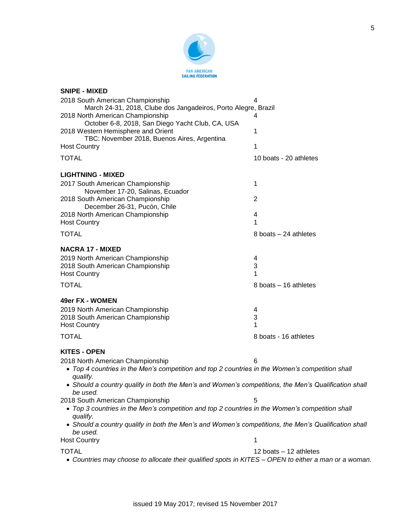

| <b>SNIPE - MIXED</b>                                                                                             |                           |
|------------------------------------------------------------------------------------------------------------------|---------------------------|
| 2018 South American Championship                                                                                 | 4                         |
| March 24-31, 2018, Clube dos Jangadeiros, Porto Alegre, Brazil                                                   |                           |
| 2018 North American Championship                                                                                 |                           |
| October 6-8, 2018, San Diego Yacht Club, CA, USA                                                                 |                           |
| 2018 Western Hemisphere and Orient                                                                               | 1                         |
| TBC: November 2018, Buenos Aires, Argentina                                                                      |                           |
| <b>Host Country</b>                                                                                              | 1                         |
| <b>TOTAL</b>                                                                                                     | 10 boats - 20 athletes    |
| <b>LIGHTNING - MIXED</b>                                                                                         |                           |
| 2017 South American Championship<br>November 17-20, Salinas, Ecuador                                             | 1                         |
| 2018 South American Championship<br>December 26-31, Pucón, Chile                                                 | 2                         |
| 2018 North American Championship                                                                                 | 4                         |
| <b>Host Country</b>                                                                                              | 1                         |
| <b>TOTAL</b>                                                                                                     | 8 boats - 24 athletes     |
| <b>NACRA 17 - MIXED</b>                                                                                          |                           |
| 2019 North American Championship                                                                                 | 4                         |
| 2018 South American Championship                                                                                 | 3                         |
| <b>Host Country</b>                                                                                              | 1                         |
| <b>TOTAL</b>                                                                                                     | 8 boats - 16 athletes     |
| 49er FX - WOMEN                                                                                                  |                           |
| 2019 North American Championship                                                                                 | 4                         |
| 2018 South American Championship                                                                                 | $\ensuremath{\mathsf{3}}$ |
| <b>Host Country</b>                                                                                              | 1                         |
| <b>TOTAL</b>                                                                                                     | 8 boats - 16 athletes     |
| <b>KITES - OPEN</b>                                                                                              |                           |
| 2018 North American Championship                                                                                 | 6                         |
| • Top 4 countries in the Men's competition and top 2 countries in the Women's competition shall<br>qualify.      |                           |
| • Should a country qualify in both the Men's and Women's competitions, the Men's Qualification shall<br>be used. |                           |
| 2018 South American Championship                                                                                 | 5                         |
| • Top 3 countries in the Men's competition and top 2 countries in the Women's competition shall<br>qualify.      |                           |
| • Should a country qualify in both the Men's and Women's competitions, the Men's Qualification shall<br>be used. |                           |
| <b>Host Country</b>                                                                                              | 1                         |
| <b>TOTAL</b>                                                                                                     | 12 boats - 12 athletes    |
| • Countries may choose to allocate their qualified spots in KITES - OPEN to either a man or a woman.             |                           |